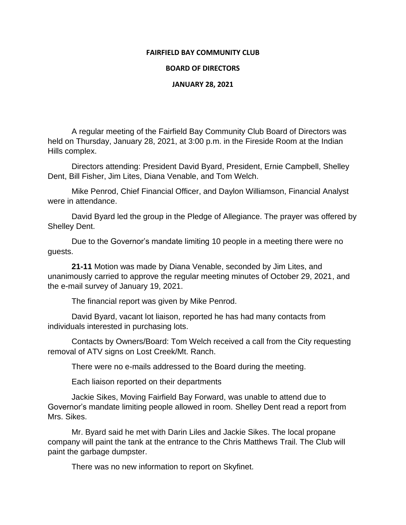## **FAIRFIELD BAY COMMUNITY CLUB**

## **BOARD OF DIRECTORS**

## **JANUARY 28, 2021**

A regular meeting of the Fairfield Bay Community Club Board of Directors was held on Thursday, January 28, 2021, at 3:00 p.m. in the Fireside Room at the Indian Hills complex.

Directors attending: President David Byard, President, Ernie Campbell, Shelley Dent, Bill Fisher, Jim Lites, Diana Venable, and Tom Welch.

Mike Penrod, Chief Financial Officer, and Daylon Williamson, Financial Analyst were in attendance.

David Byard led the group in the Pledge of Allegiance. The prayer was offered by Shelley Dent.

Due to the Governor's mandate limiting 10 people in a meeting there were no guests.

**21-11** Motion was made by Diana Venable, seconded by Jim Lites, and unanimously carried to approve the regular meeting minutes of October 29, 2021, and the e-mail survey of January 19, 2021.

The financial report was given by Mike Penrod.

David Byard, vacant lot liaison, reported he has had many contacts from individuals interested in purchasing lots.

Contacts by Owners/Board: Tom Welch received a call from the City requesting removal of ATV signs on Lost Creek/Mt. Ranch.

There were no e-mails addressed to the Board during the meeting.

Each liaison reported on their departments

Jackie Sikes, Moving Fairfield Bay Forward, was unable to attend due to Governor's mandate limiting people allowed in room. Shelley Dent read a report from Mrs. Sikes.

Mr. Byard said he met with Darin Liles and Jackie Sikes. The local propane company will paint the tank at the entrance to the Chris Matthews Trail. The Club will paint the garbage dumpster.

There was no new information to report on Skyfinet.